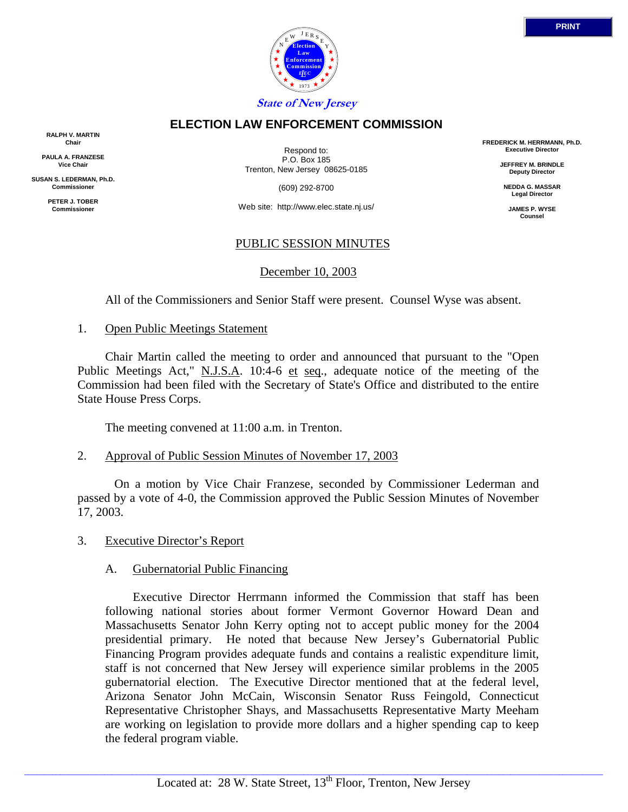

# **ELECTION LAW ENFORCEMENT COMMISSION**

**RALPH V. MARTIN Chair**

**PAULA A. FRANZESE Vice Chair**

**SUSAN S. LEDERMAN, Ph.D. Commissioner**

> **PETER J. TOBER Commissioner**

Respond to: P.O. Box 185 Trenton, New Jersey 08625-0185

(609) 292-8700

Web site: http://www.elec.state.nj.us/

# PUBLIC SESSION MINUTES

### December 10, 2003

All of the Commissioners and Senior Staff were present. Counsel Wyse was absent.

1. Open Public Meetings Statement

 Chair Martin called the meeting to order and announced that pursuant to the "Open Public Meetings Act," N.J.S.A. 10:4-6 et seq., adequate notice of the meeting of the Commission had been filed with the Secretary of State's Office and distributed to the entire State House Press Corps.

The meeting convened at 11:00 a.m. in Trenton.

# 2. Approval of Public Session Minutes of November 17, 2003

 On a motion by Vice Chair Franzese, seconded by Commissioner Lederman and passed by a vote of 4-0, the Commission approved the Public Session Minutes of November 17, 2003.

3. Executive Director's Report

### A. Gubernatorial Public Financing

 Executive Director Herrmann informed the Commission that staff has been following national stories about former Vermont Governor Howard Dean and Massachusetts Senator John Kerry opting not to accept public money for the 2004 presidential primary. He noted that because New Jersey's Gubernatorial Public Financing Program provides adequate funds and contains a realistic expenditure limit, staff is not concerned that New Jersey will experience similar problems in the 2005 gubernatorial election. The Executive Director mentioned that at the federal level, Arizona Senator John McCain, Wisconsin Senator Russ Feingold, Connecticut Representative Christopher Shays, and Massachusetts Representative Marty Meeham are working on legislation to provide more dollars and a higher spending cap to keep the federal program viable.

**FREDERICK M. HERRMANN, Ph.D. Executive Director**

> **JEFFREY M. BRINDLE Deputy Director**

**NEDDA G. MASSAR Legal Director**

**JAMES P. WYSE Counsel**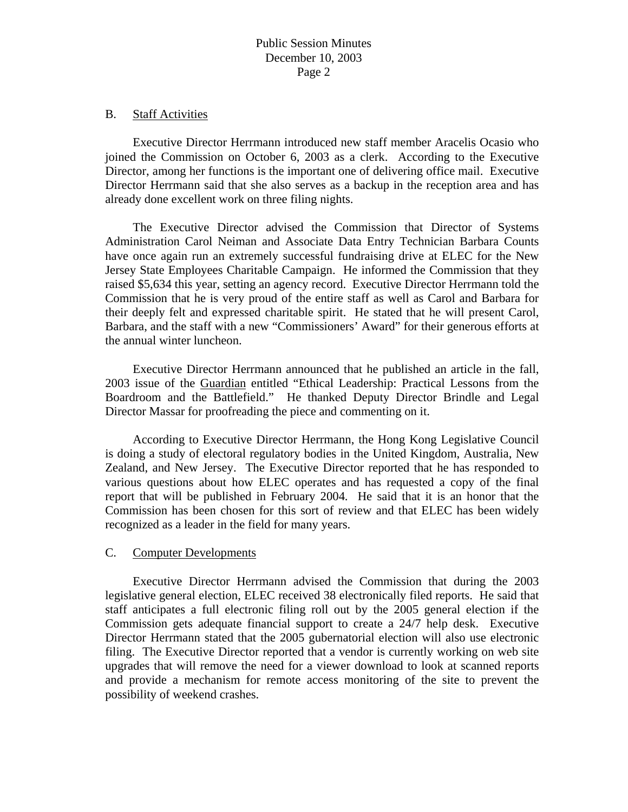### B. Staff Activities

 Executive Director Herrmann introduced new staff member Aracelis Ocasio who joined the Commission on October 6, 2003 as a clerk. According to the Executive Director, among her functions is the important one of delivering office mail. Executive Director Herrmann said that she also serves as a backup in the reception area and has already done excellent work on three filing nights.

 The Executive Director advised the Commission that Director of Systems Administration Carol Neiman and Associate Data Entry Technician Barbara Counts have once again run an extremely successful fundraising drive at ELEC for the New Jersey State Employees Charitable Campaign. He informed the Commission that they raised \$5,634 this year, setting an agency record. Executive Director Herrmann told the Commission that he is very proud of the entire staff as well as Carol and Barbara for their deeply felt and expressed charitable spirit. He stated that he will present Carol, Barbara, and the staff with a new "Commissioners' Award" for their generous efforts at the annual winter luncheon.

 Executive Director Herrmann announced that he published an article in the fall, 2003 issue of the Guardian entitled "Ethical Leadership: Practical Lessons from the Boardroom and the Battlefield." He thanked Deputy Director Brindle and Legal Director Massar for proofreading the piece and commenting on it.

 According to Executive Director Herrmann, the Hong Kong Legislative Council is doing a study of electoral regulatory bodies in the United Kingdom, Australia, New Zealand, and New Jersey. The Executive Director reported that he has responded to various questions about how ELEC operates and has requested a copy of the final report that will be published in February 2004. He said that it is an honor that the Commission has been chosen for this sort of review and that ELEC has been widely recognized as a leader in the field for many years.

### C. Computer Developments

 Executive Director Herrmann advised the Commission that during the 2003 legislative general election, ELEC received 38 electronically filed reports. He said that staff anticipates a full electronic filing roll out by the 2005 general election if the Commission gets adequate financial support to create a 24/7 help desk. Executive Director Herrmann stated that the 2005 gubernatorial election will also use electronic filing. The Executive Director reported that a vendor is currently working on web site upgrades that will remove the need for a viewer download to look at scanned reports and provide a mechanism for remote access monitoring of the site to prevent the possibility of weekend crashes.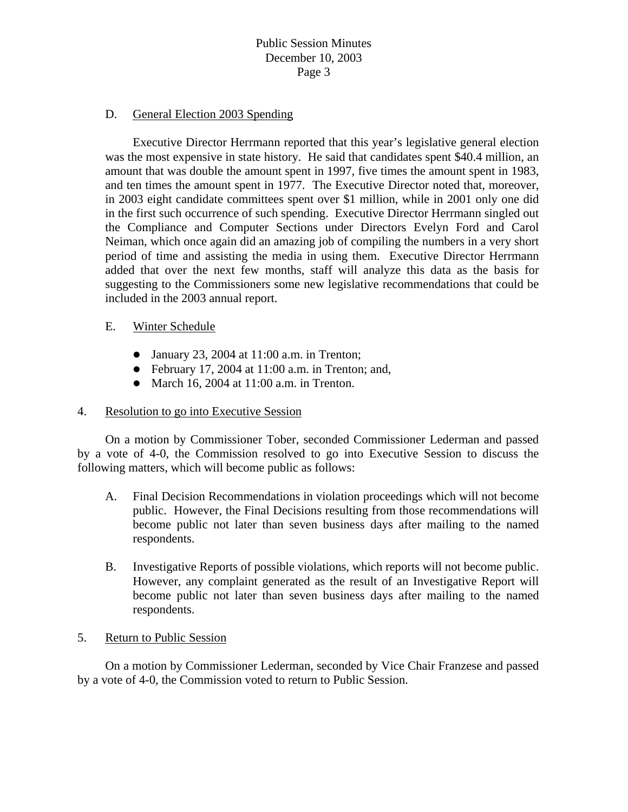# Public Session Minutes December 10, 2003 Page 3

### D. General Election 2003 Spending

 Executive Director Herrmann reported that this year's legislative general election was the most expensive in state history. He said that candidates spent \$40.4 million, an amount that was double the amount spent in 1997, five times the amount spent in 1983, and ten times the amount spent in 1977. The Executive Director noted that, moreover, in 2003 eight candidate committees spent over \$1 million, while in 2001 only one did in the first such occurrence of such spending. Executive Director Herrmann singled out the Compliance and Computer Sections under Directors Evelyn Ford and Carol Neiman, which once again did an amazing job of compiling the numbers in a very short period of time and assisting the media in using them. Executive Director Herrmann added that over the next few months, staff will analyze this data as the basis for suggesting to the Commissioners some new legislative recommendations that could be included in the 2003 annual report.

### E. Winter Schedule

- January 23, 2004 at  $11:00$  a.m. in Trenton;
- $\bullet$  February 17, 2004 at 11:00 a.m. in Trenton; and,
- March 16, 2004 at  $11:00$  a.m. in Trenton.

### 4. Resolution to go into Executive Session

 On a motion by Commissioner Tober, seconded Commissioner Lederman and passed by a vote of 4-0, the Commission resolved to go into Executive Session to discuss the following matters, which will become public as follows:

- A. Final Decision Recommendations in violation proceedings which will not become public. However, the Final Decisions resulting from those recommendations will become public not later than seven business days after mailing to the named respondents.
- B. Investigative Reports of possible violations, which reports will not become public. However, any complaint generated as the result of an Investigative Report will become public not later than seven business days after mailing to the named respondents.

### 5. Return to Public Session

On a motion by Commissioner Lederman, seconded by Vice Chair Franzese and passed by a vote of 4-0, the Commission voted to return to Public Session.